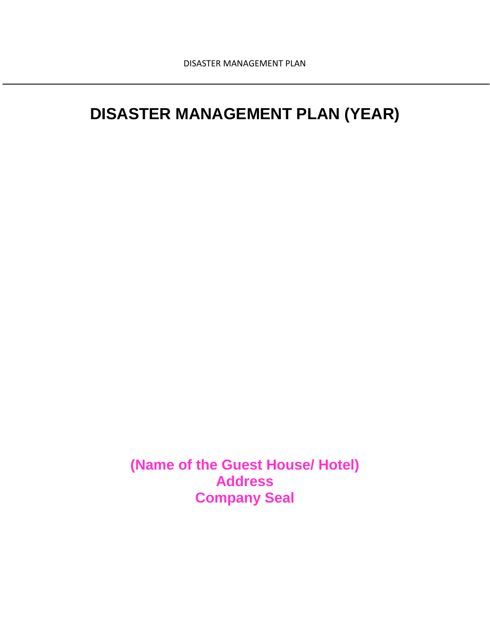# **DISASTER MANAGEMENT PLAN (YEAR)**

**(Name of the Guest House/ Hotel) Address Company Seal**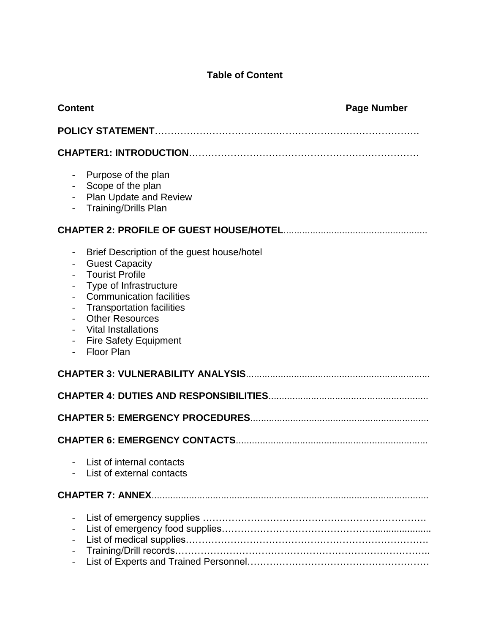# **Table of Content**

| <b>Content</b>                                                                                                                                                                                                                                                                                                                                                                                                       | <b>Page Number</b> |
|----------------------------------------------------------------------------------------------------------------------------------------------------------------------------------------------------------------------------------------------------------------------------------------------------------------------------------------------------------------------------------------------------------------------|--------------------|
|                                                                                                                                                                                                                                                                                                                                                                                                                      |                    |
|                                                                                                                                                                                                                                                                                                                                                                                                                      |                    |
| Purpose of the plan<br>- Scope of the plan<br><b>Plan Update and Review</b><br><b>Training/Drills Plan</b>                                                                                                                                                                                                                                                                                                           |                    |
|                                                                                                                                                                                                                                                                                                                                                                                                                      |                    |
| Brief Description of the guest house/hotel<br><b>Guest Capacity</b><br>$\overline{\phantom{a}}$<br><b>Tourist Profile</b><br>Type of Infrastructure<br>$\overline{\phantom{a}}$<br><b>Communication facilities</b><br>$\overline{\phantom{a}}$<br><b>Transportation facilities</b><br><b>Other Resources</b><br>$\overline{\phantom{a}}$<br><b>Vital Installations</b><br><b>Fire Safety Equipment</b><br>Floor Plan |                    |
|                                                                                                                                                                                                                                                                                                                                                                                                                      |                    |
|                                                                                                                                                                                                                                                                                                                                                                                                                      |                    |
|                                                                                                                                                                                                                                                                                                                                                                                                                      |                    |
|                                                                                                                                                                                                                                                                                                                                                                                                                      |                    |
| List of internal contacts<br>List of external contacts                                                                                                                                                                                                                                                                                                                                                               |                    |
|                                                                                                                                                                                                                                                                                                                                                                                                                      |                    |
| -<br>$\qquad \qquad \blacksquare$<br>$\overline{\phantom{a}}$                                                                                                                                                                                                                                                                                                                                                        |                    |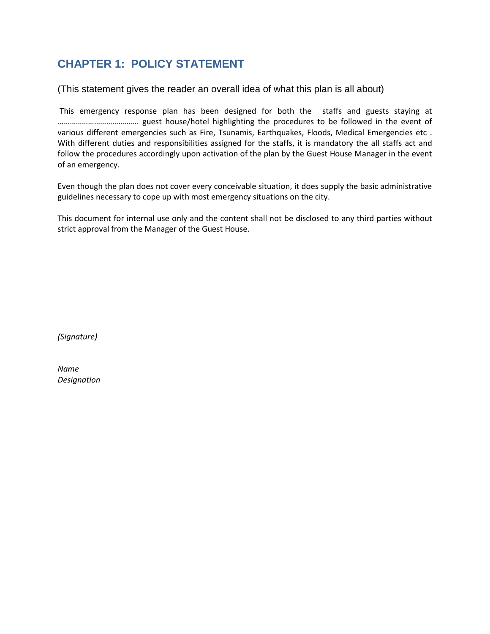# **CHAPTER 1: POLICY STATEMENT**

(This statement gives the reader an overall idea of what this plan is all about)

This emergency response plan has been designed for both the staffs and guests staying at …………………………………. guest house/hotel highlighting the procedures to be followed in the event of various different emergencies such as Fire, Tsunamis, Earthquakes, Floods, Medical Emergencies etc . With different duties and responsibilities assigned for the staffs, it is mandatory the all staffs act and follow the procedures accordingly upon activation of the plan by the Guest House Manager in the event of an emergency.

Even though the plan does not cover every conceivable situation, it does supply the basic administrative guidelines necessary to cope up with most emergency situations on the city.

This document for internal use only and the content shall not be disclosed to any third parties without strict approval from the Manager of the Guest House.

*(Signature)*

*Name Designation*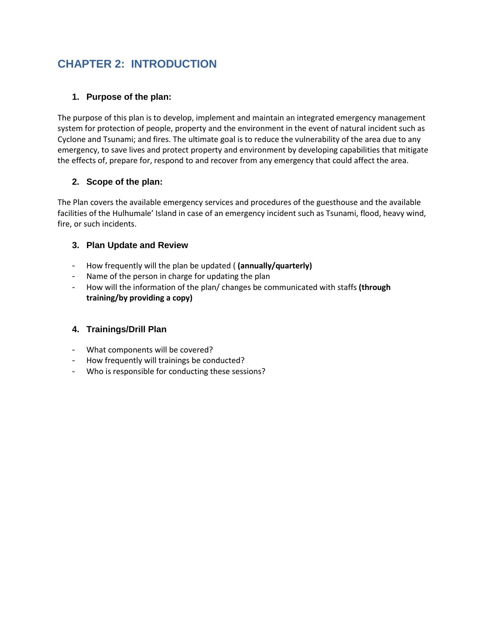# **CHAPTER 2: INTRODUCTION**

# **1. Purpose of the plan:**

The purpose of this plan is to develop, implement and maintain an integrated emergency management system for protection of people, property and the environment in the event of natural incident such as Cyclone and Tsunami; and fires. The ultimate goal is to reduce the vulnerability of the area due to any emergency, to save lives and protect property and environment by developing capabilities that mitigate the effects of, prepare for, respond to and recover from any emergency that could affect the area.

# **2. Scope of the plan:**

The Plan covers the available emergency services and procedures of the guesthouse and the available facilities of the Hulhumale' Island in case of an emergency incident such as Tsunami, flood, heavy wind, fire, or such incidents.

# **3. Plan Update and Review**

- How frequently will the plan be updated ( **(annually/quarterly)**
- Name of the person in charge for updating the plan
- How will the information of the plan/ changes be communicated with staffs **(through training/by providing a copy)**

# **4. Trainings/Drill Plan**

- What components will be covered?
- How frequently will trainings be conducted?
- Who is responsible for conducting these sessions?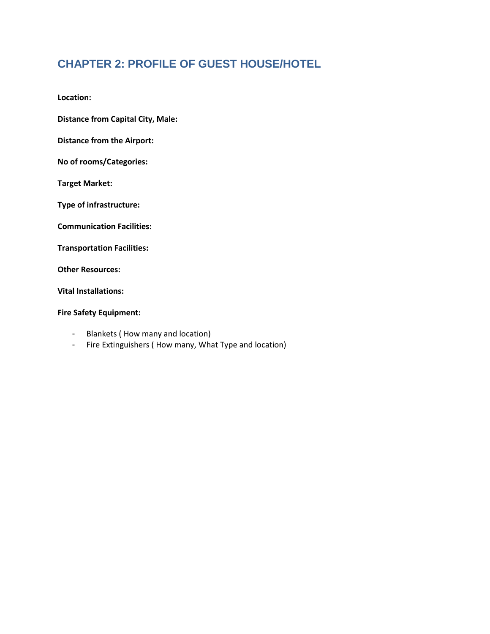# **CHAPTER 2: PROFILE OF GUEST HOUSE/HOTEL**

**Location:** 

**Distance from Capital City, Male:**

**Distance from the Airport:**

**No of rooms/Categories:**

**Target Market:**

**Type of infrastructure:**

**Communication Facilities:**

**Transportation Facilities:**

**Other Resources:**

**Vital Installations:**

#### **Fire Safety Equipment:**

- Blankets ( How many and location)
- Fire Extinguishers ( How many, What Type and location)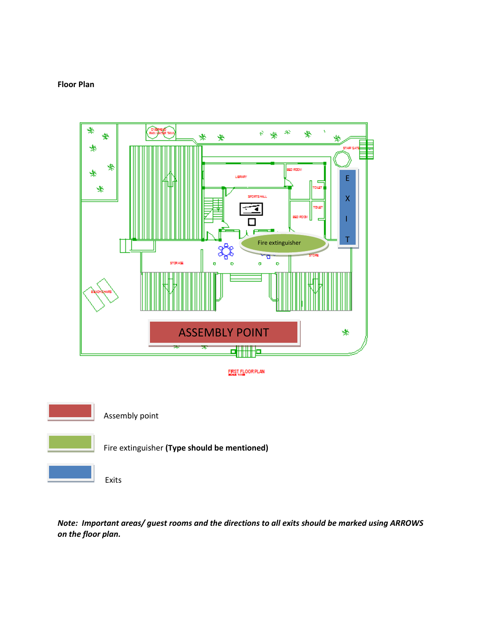





*Note: Important areas/ guest rooms and the directions to all exits should be marked using ARROWS on the floor plan.*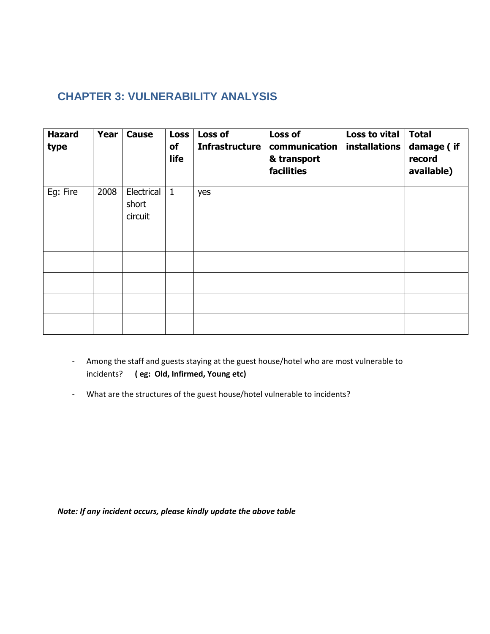# **CHAPTER 3: VULNERABILITY ANALYSIS**

| <b>Hazard</b><br>type | <b>Year</b> | Cause                          | <b>Loss</b><br>of<br>life | Loss of<br>Infrastructure | Loss of<br>communication<br>& transport<br>facilities | Loss to vital<br><b>installations</b> | <b>Total</b><br>damage (if<br>record<br>available) |
|-----------------------|-------------|--------------------------------|---------------------------|---------------------------|-------------------------------------------------------|---------------------------------------|----------------------------------------------------|
| Eg: Fire              | 2008        | Electrical<br>short<br>circuit | $\vert$ 1                 | yes                       |                                                       |                                       |                                                    |
|                       |             |                                |                           |                           |                                                       |                                       |                                                    |
|                       |             |                                |                           |                           |                                                       |                                       |                                                    |
|                       |             |                                |                           |                           |                                                       |                                       |                                                    |
|                       |             |                                |                           |                           |                                                       |                                       |                                                    |
|                       |             |                                |                           |                           |                                                       |                                       |                                                    |

- Among the staff and guests staying at the guest house/hotel who are most vulnerable to incidents? **( eg: Old, Infirmed, Young etc)**
- What are the structures of the guest house/hotel vulnerable to incidents?

*Note: If any incident occurs, please kindly update the above table*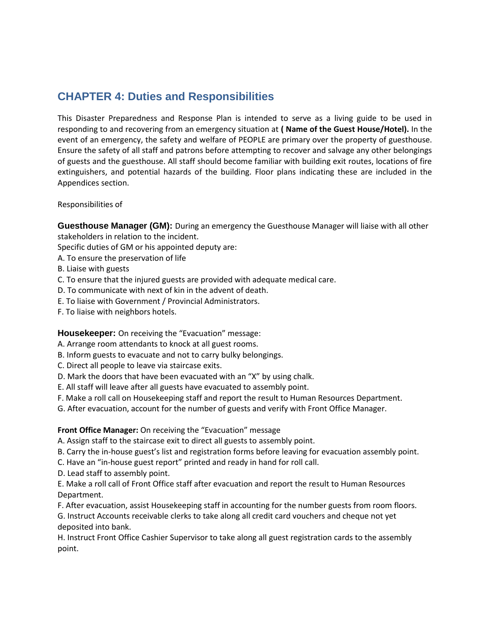# **CHAPTER 4: Duties and Responsibilities**

This Disaster Preparedness and Response Plan is intended to serve as a living guide to be used in responding to and recovering from an emergency situation at **( Name of the Guest House/Hotel).** In the event of an emergency, the safety and welfare of PEOPLE are primary over the property of guesthouse. Ensure the safety of all staff and patrons before attempting to recover and salvage any other belongings of guests and the guesthouse. All staff should become familiar with building exit routes, locations of fire extinguishers, and potential hazards of the building. Floor plans indicating these are included in the Appendices section.

Responsibilities of

**Guesthouse Manager (GM):** During an emergency the Guesthouse Manager will liaise with all other stakeholders in relation to the incident.

Specific duties of GM or his appointed deputy are:

- A. To ensure the preservation of life
- B. Liaise with guests
- C. To ensure that the injured guests are provided with adequate medical care.
- D. To communicate with next of kin in the advent of death.
- E. To liaise with Government / Provincial Administrators.
- F. To liaise with neighbors hotels.

**Housekeeper:** On receiving the "Evacuation" message:

A. Arrange room attendants to knock at all guest rooms.

- B. Inform guests to evacuate and not to carry bulky belongings.
- C. Direct all people to leave via staircase exits.
- D. Mark the doors that have been evacuated with an "X" by using chalk.
- E. All staff will leave after all guests have evacuated to assembly point.
- F. Make a roll call on Housekeeping staff and report the result to Human Resources Department.
- G. After evacuation, account for the number of guests and verify with Front Office Manager.

#### **Front Office Manager:** On receiving the "Evacuation" message

A. Assign staff to the staircase exit to direct all guests to assembly point.

- B. Carry the in-house guest's list and registration forms before leaving for evacuation assembly point.
- C. Have an "in-house guest report" printed and ready in hand for roll call.
- D. Lead staff to assembly point.

E. Make a roll call of Front Office staff after evacuation and report the result to Human Resources Department.

F. After evacuation, assist Housekeeping staff in accounting for the number guests from room floors. G. Instruct Accounts receivable clerks to take along all credit card vouchers and cheque not yet

deposited into bank.

H. Instruct Front Office Cashier Supervisor to take along all guest registration cards to the assembly point.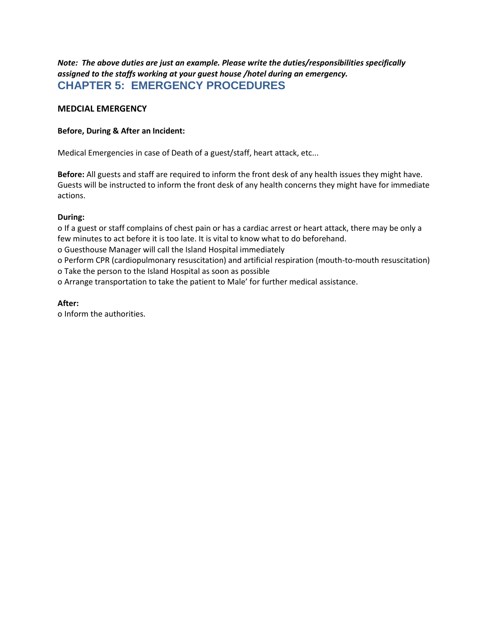*Note: The above duties are just an example. Please write the duties/responsibilities specifically assigned to the staffs working at your guest house /hotel during an emergency.* **CHAPTER 5: EMERGENCY PROCEDURES**

## **MEDCIAL EMERGENCY**

#### **Before, During & After an Incident:**

Medical Emergencies in case of Death of a guest/staff, heart attack, etc...

**Before:** All guests and staff are required to inform the front desk of any health issues they might have. Guests will be instructed to inform the front desk of any health concerns they might have for immediate actions.

## **During:**

o If a guest or staff complains of chest pain or has a cardiac arrest or heart attack, there may be only a few minutes to act before it is too late. It is vital to know what to do beforehand.

o Guesthouse Manager will call the Island Hospital immediately

o Perform CPR (cardiopulmonary resuscitation) and artificial respiration (mouth-to-mouth resuscitation) o Take the person to the Island Hospital as soon as possible

o Arrange transportation to take the patient to Male' for further medical assistance.

## **After:**

o Inform the authorities.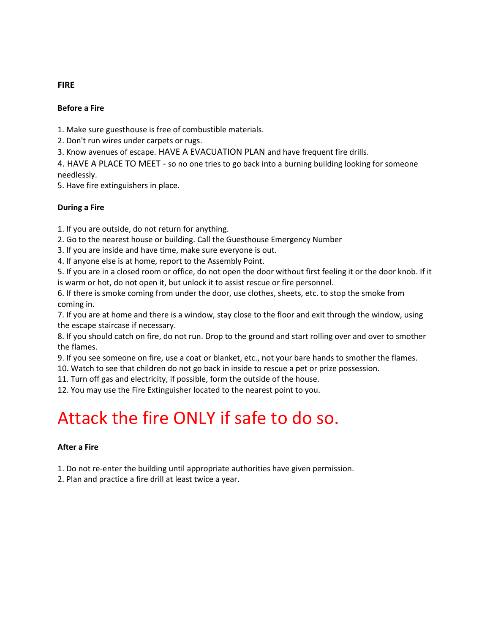# **Before a Fire**

1. Make sure guesthouse is free of combustible materials.

2. Don't run wires under carpets or rugs.

3. Know avenues of escape. HAVE A EVACUATION PLAN and have frequent fire drills.

4. HAVE A PLACE TO MEET - so no one tries to go back into a burning building looking for someone needlessly.

5. Have fire extinguishers in place.

## **During a Fire**

1. If you are outside, do not return for anything.

2. Go to the nearest house or building. Call the Guesthouse Emergency Number

3. If you are inside and have time, make sure everyone is out.

4. If anyone else is at home, report to the Assembly Point.

5. If you are in a closed room or office, do not open the door without first feeling it or the door knob. If it is warm or hot, do not open it, but unlock it to assist rescue or fire personnel.

6. If there is smoke coming from under the door, use clothes, sheets, etc. to stop the smoke from coming in.

7. If you are at home and there is a window, stay close to the floor and exit through the window, using the escape staircase if necessary.

8. If you should catch on fire, do not run. Drop to the ground and start rolling over and over to smother the flames.

9. If you see someone on fire, use a coat or blanket, etc., not your bare hands to smother the flames.

10. Watch to see that children do not go back in inside to rescue a pet or prize possession.

11. Turn off gas and electricity, if possible, form the outside of the house.

12. You may use the Fire Extinguisher located to the nearest point to you.

# Attack the fire ONLY if safe to do so.

# **After a Fire**

1. Do not re-enter the building until appropriate authorities have given permission.

2. Plan and practice a fire drill at least twice a year.

## **FIRE**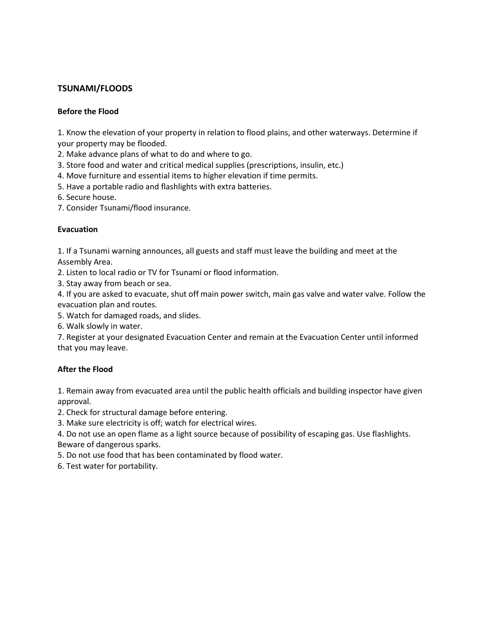# **TSUNAMI/FLOODS**

## **Before the Flood**

1. Know the elevation of your property in relation to flood plains, and other waterways. Determine if your property may be flooded.

2. Make advance plans of what to do and where to go.

- 3. Store food and water and critical medical supplies (prescriptions, insulin, etc.)
- 4. Move furniture and essential items to higher elevation if time permits.
- 5. Have a portable radio and flashlights with extra batteries.
- 6. Secure house.
- 7. Consider Tsunami/flood insurance.

## **Evacuation**

1. If a Tsunami warning announces, all guests and staff must leave the building and meet at the Assembly Area.

2. Listen to local radio or TV for Tsunami or flood information.

3. Stay away from beach or sea.

4. If you are asked to evacuate, shut off main power switch, main gas valve and water valve. Follow the evacuation plan and routes.

5. Watch for damaged roads, and slides.

6. Walk slowly in water.

7. Register at your designated Evacuation Center and remain at the Evacuation Center until informed that you may leave.

# **After the Flood**

1. Remain away from evacuated area until the public health officials and building inspector have given approval.

2. Check for structural damage before entering.

3. Make sure electricity is off; watch for electrical wires.

4. Do not use an open flame as a light source because of possibility of escaping gas. Use flashlights. Beware of dangerous sparks.

5. Do not use food that has been contaminated by flood water.

6. Test water for portability.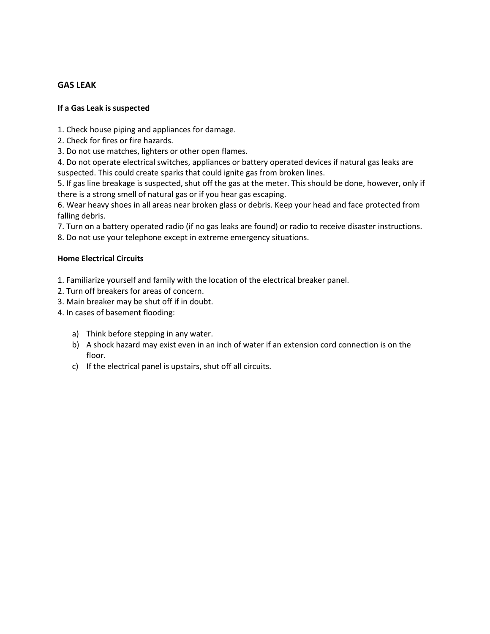# **GAS LEAK**

#### **If a Gas Leak is suspected**

- 1. Check house piping and appliances for damage.
- 2. Check for fires or fire hazards.
- 3. Do not use matches, lighters or other open flames.

4. Do not operate electrical switches, appliances or battery operated devices if natural gas leaks are suspected. This could create sparks that could ignite gas from broken lines.

5. If gas line breakage is suspected, shut off the gas at the meter. This should be done, however, only if there is a strong smell of natural gas or if you hear gas escaping.

6. Wear heavy shoes in all areas near broken glass or debris. Keep your head and face protected from falling debris.

7. Turn on a battery operated radio (if no gas leaks are found) or radio to receive disaster instructions.

8. Do not use your telephone except in extreme emergency situations.

#### **Home Electrical Circuits**

1. Familiarize yourself and family with the location of the electrical breaker panel.

- 2. Turn off breakers for areas of concern.
- 3. Main breaker may be shut off if in doubt.
- 4. In cases of basement flooding:
	- a) Think before stepping in any water.
	- b) A shock hazard may exist even in an inch of water if an extension cord connection is on the floor.
	- c) If the electrical panel is upstairs, shut off all circuits.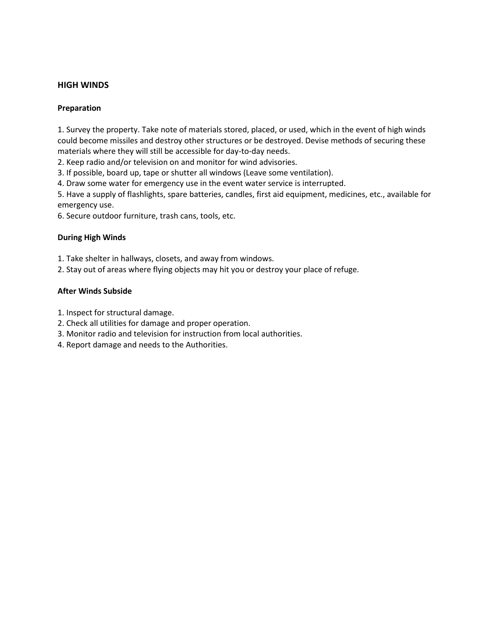## **HIGH WINDS**

#### **Preparation**

1. Survey the property. Take note of materials stored, placed, or used, which in the event of high winds could become missiles and destroy other structures or be destroyed. Devise methods of securing these materials where they will still be accessible for day-to-day needs.

2. Keep radio and/or television on and monitor for wind advisories.

3. If possible, board up, tape or shutter all windows (Leave some ventilation).

4. Draw some water for emergency use in the event water service is interrupted.

5. Have a supply of flashlights, spare batteries, candles, first aid equipment, medicines, etc., available for emergency use.

6. Secure outdoor furniture, trash cans, tools, etc.

#### **During High Winds**

1. Take shelter in hallways, closets, and away from windows.

2. Stay out of areas where flying objects may hit you or destroy your place of refuge.

#### **After Winds Subside**

1. Inspect for structural damage.

- 2. Check all utilities for damage and proper operation.
- 3. Monitor radio and television for instruction from local authorities.
- 4. Report damage and needs to the Authorities.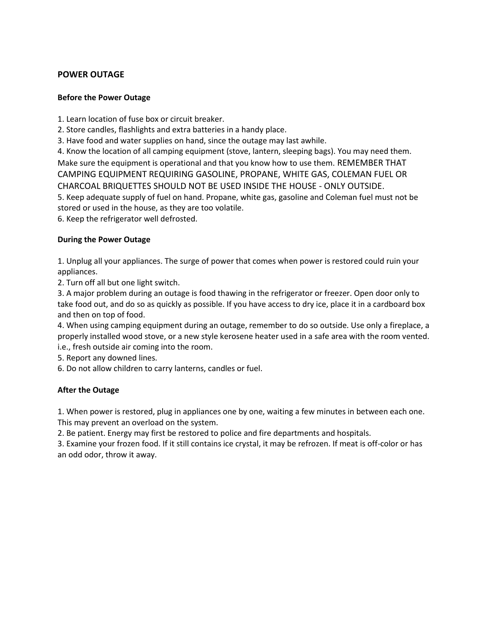# **POWER OUTAGE**

## **Before the Power Outage**

1. Learn location of fuse box or circuit breaker.

2. Store candles, flashlights and extra batteries in a handy place.

3. Have food and water supplies on hand, since the outage may last awhile.

4. Know the location of all camping equipment (stove, lantern, sleeping bags). You may need them. Make sure the equipment is operational and that you know how to use them. REMEMBER THAT CAMPING EQUIPMENT REQUIRING GASOLINE, PROPANE, WHITE GAS, COLEMAN FUEL OR CHARCOAL BRIQUETTES SHOULD NOT BE USED INSIDE THE HOUSE - ONLY OUTSIDE. 5. Keep adequate supply of fuel on hand. Propane, white gas, gasoline and Coleman fuel must not be stored or used in the house, as they are too volatile.

6. Keep the refrigerator well defrosted.

## **During the Power Outage**

1. Unplug all your appliances. The surge of power that comes when power is restored could ruin your appliances.

2. Turn off all but one light switch.

3. A major problem during an outage is food thawing in the refrigerator or freezer. Open door only to take food out, and do so as quickly as possible. If you have access to dry ice, place it in a cardboard box and then on top of food.

4. When using camping equipment during an outage, remember to do so outside. Use only a fireplace, a properly installed wood stove, or a new style kerosene heater used in a safe area with the room vented. i.e., fresh outside air coming into the room.

5. Report any downed lines.

6. Do not allow children to carry lanterns, candles or fuel.

# **After the Outage**

1. When power is restored, plug in appliances one by one, waiting a few minutes in between each one. This may prevent an overload on the system.

2. Be patient. Energy may first be restored to police and fire departments and hospitals.

3. Examine your frozen food. If it still contains ice crystal, it may be refrozen. If meat is off-color or has an odd odor, throw it away.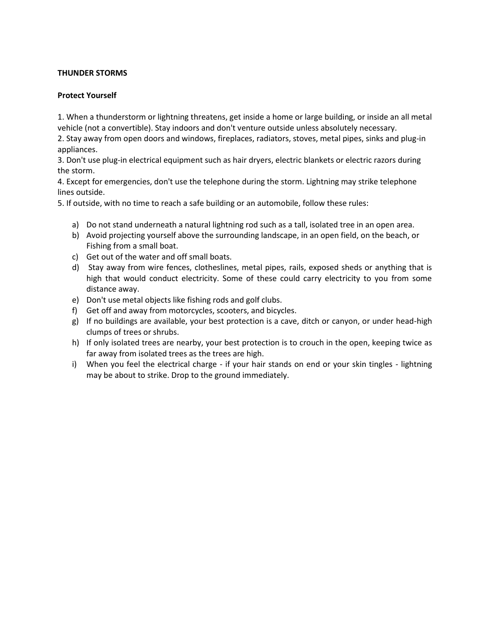## **THUNDER STORMS**

#### **Protect Yourself**

1. When a thunderstorm or lightning threatens, get inside a home or large building, or inside an all metal vehicle (not a convertible). Stay indoors and don't venture outside unless absolutely necessary.

2. Stay away from open doors and windows, fireplaces, radiators, stoves, metal pipes, sinks and plug-in appliances.

3. Don't use plug-in electrical equipment such as hair dryers, electric blankets or electric razors during the storm.

4. Except for emergencies, don't use the telephone during the storm. Lightning may strike telephone lines outside.

5. If outside, with no time to reach a safe building or an automobile, follow these rules:

- a) Do not stand underneath a natural lightning rod such as a tall, isolated tree in an open area.
- b) Avoid projecting yourself above the surrounding landscape, in an open field, on the beach, or Fishing from a small boat.
- c) Get out of the water and off small boats.
- d) Stay away from wire fences, clotheslines, metal pipes, rails, exposed sheds or anything that is high that would conduct electricity. Some of these could carry electricity to you from some distance away.
- e) Don't use metal objects like fishing rods and golf clubs.
- f) Get off and away from motorcycles, scooters, and bicycles.
- g) If no buildings are available, your best protection is a cave, ditch or canyon, or under head-high clumps of trees or shrubs.
- h) If only isolated trees are nearby, your best protection is to crouch in the open, keeping twice as far away from isolated trees as the trees are high.
- i) When you feel the electrical charge if your hair stands on end or your skin tingles lightning may be about to strike. Drop to the ground immediately.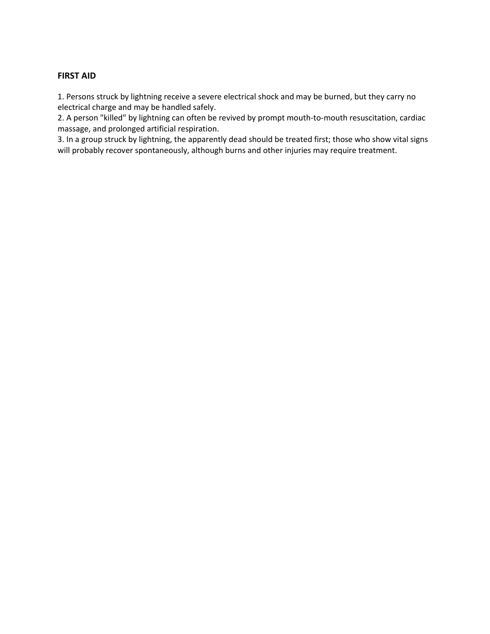## **FIRST AID**

1. Persons struck by lightning receive a severe electrical shock and may be burned, but they carry no electrical charge and may be handled safely.

2. A person "killed" by lightning can often be revived by prompt mouth-to-mouth resuscitation, cardiac massage, and prolonged artificial respiration.

3. In a group struck by lightning, the apparently dead should be treated first; those who show vital signs will probably recover spontaneously, although burns and other injuries may require treatment.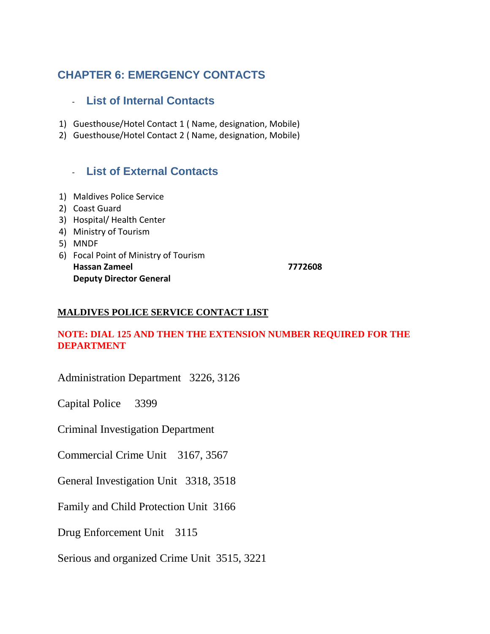# **CHAPTER 6: EMERGENCY CONTACTS**

# - **List of Internal Contacts**

- 1) Guesthouse/Hotel Contact 1 ( Name, designation, Mobile)
- 2) Guesthouse/Hotel Contact 2 ( Name, designation, Mobile)

# - **List of External Contacts**

- 1) Maldives Police Service
- 2) Coast Guard
- 3) Hospital/ Health Center
- 4) Ministry of Tourism
- 5) MNDF
- 6) Focal Point of Ministry of Tourism **Hassan Zameel 7772608 Deputy Director General**

# **MALDIVES POLICE SERVICE CONTACT LIST**

# **NOTE: DIAL 125 AND THEN THE EXTENSION NUMBER REQUIRED FOR THE DEPARTMENT**

Administration Department 3226, 3126

Capital Police 3399

Criminal Investigation Department

Commercial Crime Unit 3167, 3567

General Investigation Unit 3318, 3518

Family and Child Protection Unit 3166

Drug Enforcement Unit 3115

Serious and organized Crime Unit 3515, 3221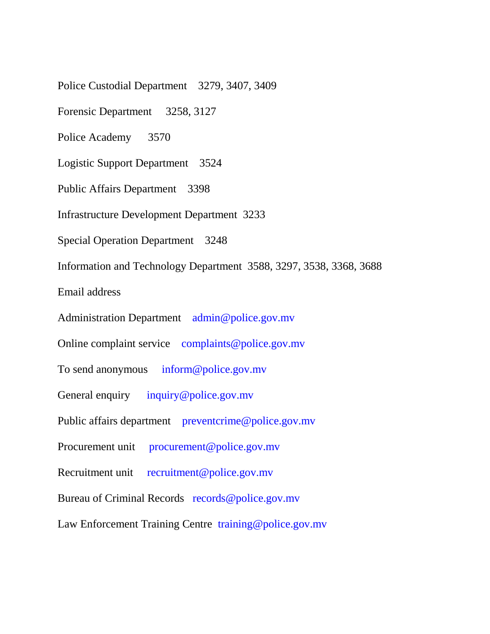Police Custodial Department 3279, 3407, 3409

Forensic Department 3258, 3127

Police Academy 3570

Logistic Support Department 3524

Public Affairs Department 3398

Infrastructure Development Department 3233

Special Operation Department 3248

Information and Technology Department 3588, 3297, 3538, 3368, 3688

Email address

Administration Department admin@police.gov.mv

Online complaint service complaints@police.gov.mv

To send anonymous inform@police.gov.mv

General enquiry inquiry@police.gov.mv

Public affairs department preventcrime@police.gov.mv

Procurement unit procurement@police.gov.mv

Recruitment unit recruitment@police.gov.mv

Bureau of Criminal Records records@police.gov.mv

Law Enforcement Training Centre training@police.gov.mv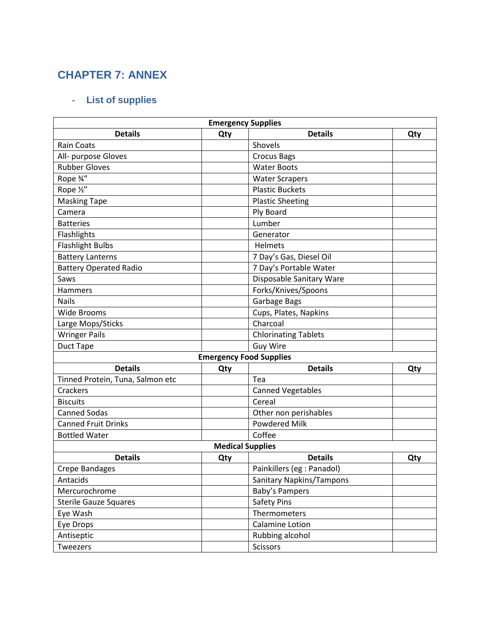# **CHAPTER 7: ANNEX**

# - **List of supplies**

| <b>Emergency Supplies</b>        |     |                             |     |  |  |  |  |
|----------------------------------|-----|-----------------------------|-----|--|--|--|--|
| <b>Details</b>                   | Qty | <b>Details</b>              | Qty |  |  |  |  |
| <b>Rain Coats</b>                |     | Shovels                     |     |  |  |  |  |
| All- purpose Gloves              |     | <b>Crocus Bags</b>          |     |  |  |  |  |
| <b>Rubber Gloves</b>             |     | <b>Water Boots</b>          |     |  |  |  |  |
| Rope 3/4"                        |     | <b>Water Scrapers</b>       |     |  |  |  |  |
| Rope 1/2"                        |     | <b>Plastic Buckets</b>      |     |  |  |  |  |
| <b>Masking Tape</b>              |     | <b>Plastic Sheeting</b>     |     |  |  |  |  |
| Camera                           |     | Ply Board                   |     |  |  |  |  |
| <b>Batteries</b>                 |     | Lumber                      |     |  |  |  |  |
| Flashlights                      |     | Generator                   |     |  |  |  |  |
| <b>Flashlight Bulbs</b>          |     | Helmets                     |     |  |  |  |  |
| <b>Battery Lanterns</b>          |     | 7 Day's Gas, Diesel Oil     |     |  |  |  |  |
| <b>Battery Operated Radio</b>    |     | 7 Day's Portable Water      |     |  |  |  |  |
| Saws                             |     | Disposable Sanitary Ware    |     |  |  |  |  |
| <b>Hammers</b>                   |     | Forks/Knives/Spoons         |     |  |  |  |  |
| <b>Nails</b>                     |     | Garbage Bags                |     |  |  |  |  |
| <b>Wide Brooms</b>               |     | Cups, Plates, Napkins       |     |  |  |  |  |
| Large Mops/Sticks                |     | Charcoal                    |     |  |  |  |  |
| <b>Wringer Pails</b>             |     | <b>Chlorinating Tablets</b> |     |  |  |  |  |
| <b>Duct Tape</b>                 |     | <b>Guy Wire</b>             |     |  |  |  |  |
| <b>Emergency Food Supplies</b>   |     |                             |     |  |  |  |  |
| <b>Details</b>                   | Qty | <b>Details</b>              | Qty |  |  |  |  |
| Tinned Protein, Tuna, Salmon etc |     | Tea                         |     |  |  |  |  |
| Crackers                         |     | <b>Canned Vegetables</b>    |     |  |  |  |  |
| <b>Biscuits</b>                  |     | Cereal                      |     |  |  |  |  |
| <b>Canned Sodas</b>              |     | Other non perishables       |     |  |  |  |  |
| <b>Canned Fruit Drinks</b>       |     | <b>Powdered Milk</b>        |     |  |  |  |  |
| <b>Bottled Water</b>             |     | Coffee                      |     |  |  |  |  |
| <b>Medical Supplies</b>          |     |                             |     |  |  |  |  |
| <b>Details</b>                   | Qty | <b>Details</b>              | Qty |  |  |  |  |
| Crepe Bandages                   |     | Painkillers (eg : Panadol)  |     |  |  |  |  |
| Antacids                         |     | Sanitary Napkins/Tampons    |     |  |  |  |  |
| Mercurochrome                    |     | Baby's Pampers              |     |  |  |  |  |
| <b>Sterile Gauze Squares</b>     |     | <b>Safety Pins</b>          |     |  |  |  |  |
| Eye Wash                         |     | Thermometers                |     |  |  |  |  |
| Eye Drops                        |     | Calamine Lotion             |     |  |  |  |  |
| Antiseptic                       |     | Rubbing alcohol             |     |  |  |  |  |
| Tweezers                         |     | Scissors                    |     |  |  |  |  |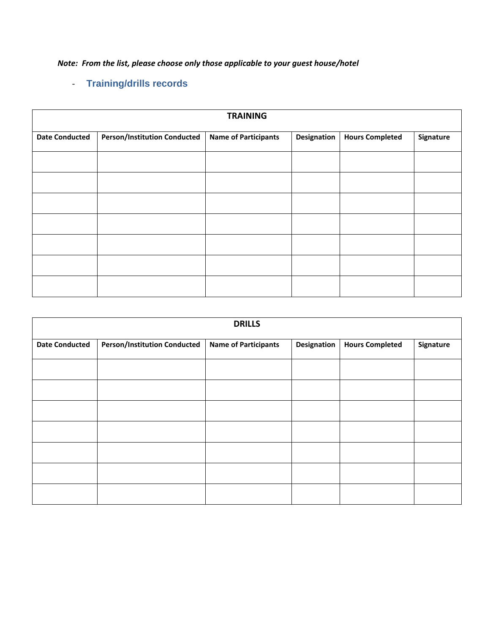*Note: From the list, please choose only those applicable to your guest house/hotel*

# - **Training/drills records**

| <b>TRAINING</b>       |                                     |                             |             |                        |           |
|-----------------------|-------------------------------------|-----------------------------|-------------|------------------------|-----------|
| <b>Date Conducted</b> | <b>Person/Institution Conducted</b> | <b>Name of Participants</b> | Designation | <b>Hours Completed</b> | Signature |
|                       |                                     |                             |             |                        |           |
|                       |                                     |                             |             |                        |           |
|                       |                                     |                             |             |                        |           |
|                       |                                     |                             |             |                        |           |
|                       |                                     |                             |             |                        |           |
|                       |                                     |                             |             |                        |           |
|                       |                                     |                             |             |                        |           |

| <b>DRILLS</b>         |                                     |                             |             |                        |           |
|-----------------------|-------------------------------------|-----------------------------|-------------|------------------------|-----------|
| <b>Date Conducted</b> | <b>Person/Institution Conducted</b> | <b>Name of Participants</b> | Designation | <b>Hours Completed</b> | Signature |
|                       |                                     |                             |             |                        |           |
|                       |                                     |                             |             |                        |           |
|                       |                                     |                             |             |                        |           |
|                       |                                     |                             |             |                        |           |
|                       |                                     |                             |             |                        |           |
|                       |                                     |                             |             |                        |           |
|                       |                                     |                             |             |                        |           |